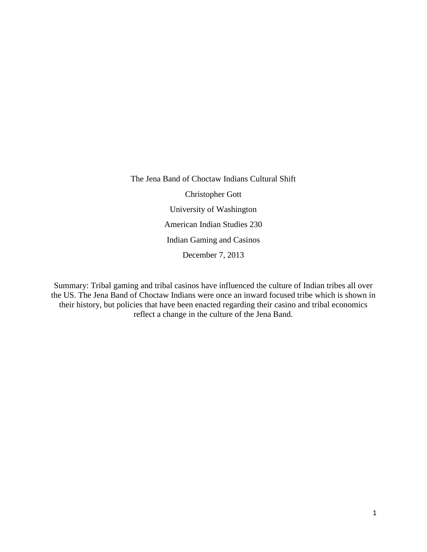The Jena Band of Choctaw Indians Cultural Shift Christopher Gott University of Washington American Indian Studies 230 Indian Gaming and Casinos December 7, 2013

Summary: Tribal gaming and tribal casinos have influenced the culture of Indian tribes all over the US. The Jena Band of Choctaw Indians were once an inward focused tribe which is shown in their history, but policies that have been enacted regarding their casino and tribal economics reflect a change in the culture of the Jena Band.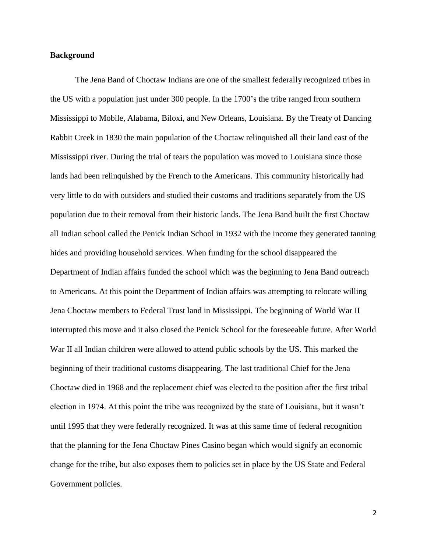## **Background**

The Jena Band of Choctaw Indians are one of the smallest federally recognized tribes in the US with a population just under 300 people. In the 1700's the tribe ranged from southern Mississippi to Mobile, Alabama, Biloxi, and New Orleans, Louisiana. By the Treaty of Dancing Rabbit Creek in 1830 the main population of the Choctaw relinquished all their land east of the Mississippi river. During the trial of tears the population was moved to Louisiana since those lands had been relinquished by the French to the Americans. This community historically had very little to do with outsiders and studied their customs and traditions separately from the US population due to their removal from their historic lands. The Jena Band built the first Choctaw all Indian school called the Penick Indian School in 1932 with the income they generated tanning hides and providing household services. When funding for the school disappeared the Department of Indian affairs funded the school which was the beginning to Jena Band outreach to Americans. At this point the Department of Indian affairs was attempting to relocate willing Jena Choctaw members to Federal Trust land in Mississippi. The beginning of World War II interrupted this move and it also closed the Penick School for the foreseeable future. After World War II all Indian children were allowed to attend public schools by the US. This marked the beginning of their traditional customs disappearing. The last traditional Chief for the Jena Choctaw died in 1968 and the replacement chief was elected to the position after the first tribal election in 1974. At this point the tribe was recognized by the state of Louisiana, but it wasn't until 1995 that they were federally recognized. It was at this same time of federal recognition that the planning for the Jena Choctaw Pines Casino began which would signify an economic change for the tribe, but also exposes them to policies set in place by the US State and Federal Government policies.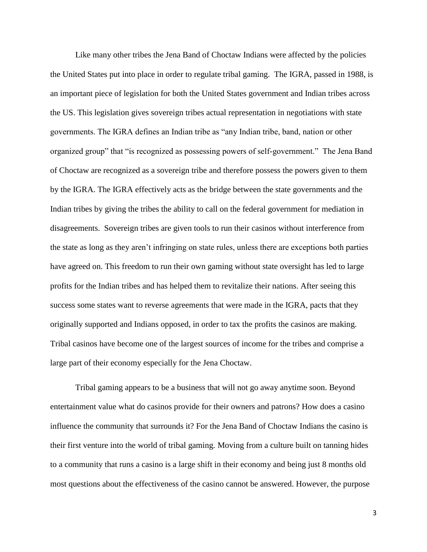Like many other tribes the Jena Band of Choctaw Indians were affected by the policies the United States put into place in order to regulate tribal gaming. The IGRA, passed in 1988, is an important piece of legislation for both the United States government and Indian tribes across the US. This legislation gives sovereign tribes actual representation in negotiations with state governments. The IGRA defines an Indian tribe as "any Indian tribe, band, nation or other organized group" that "is recognized as possessing powers of self-government." The Jena Band of Choctaw are recognized as a sovereign tribe and therefore possess the powers given to them by the IGRA. The IGRA effectively acts as the bridge between the state governments and the Indian tribes by giving the tribes the ability to call on the federal government for mediation in disagreements. Sovereign tribes are given tools to run their casinos without interference from the state as long as they aren't infringing on state rules, unless there are exceptions both parties have agreed on. This freedom to run their own gaming without state oversight has led to large profits for the Indian tribes and has helped them to revitalize their nations. After seeing this success some states want to reverse agreements that were made in the IGRA, pacts that they originally supported and Indians opposed, in order to tax the profits the casinos are making. Tribal casinos have become one of the largest sources of income for the tribes and comprise a large part of their economy especially for the Jena Choctaw.

Tribal gaming appears to be a business that will not go away anytime soon. Beyond entertainment value what do casinos provide for their owners and patrons? How does a casino influence the community that surrounds it? For the Jena Band of Choctaw Indians the casino is their first venture into the world of tribal gaming. Moving from a culture built on tanning hides to a community that runs a casino is a large shift in their economy and being just 8 months old most questions about the effectiveness of the casino cannot be answered. However, the purpose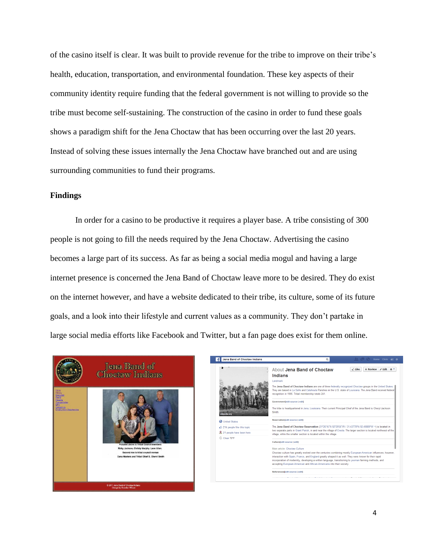of the casino itself is clear. It was built to provide revenue for the tribe to improve on their tribe's health, education, transportation, and environmental foundation. These key aspects of their community identity require funding that the federal government is not willing to provide so the tribe must become self-sustaining. The construction of the casino in order to fund these goals shows a paradigm shift for the Jena Choctaw that has been occurring over the last 20 years. Instead of solving these issues internally the Jena Choctaw have branched out and are using surrounding communities to fund their programs.

## **Findings**

In order for a casino to be productive it requires a player base. A tribe consisting of 300 people is not going to fill the needs required by the Jena Choctaw. Advertising the casino becomes a large part of its success. As far as being a social media mogul and having a large internet presence is concerned the Jena Band of Choctaw leave more to be desired. They do exist on the internet however, and have a website dedicated to their tribe, its culture, some of its future goals, and a look into their lifestyle and current values as a community. They don't partake in large social media efforts like Facebook and Twitter, but a fan page does exist for them online.



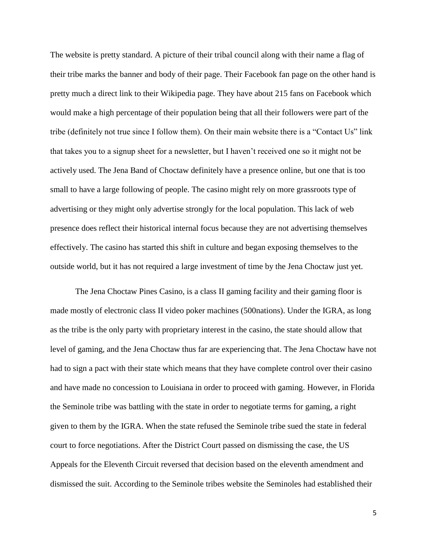The website is pretty standard. A picture of their tribal council along with their name a flag of their tribe marks the banner and body of their page. Their Facebook fan page on the other hand is pretty much a direct link to their Wikipedia page. They have about 215 fans on Facebook which would make a high percentage of their population being that all their followers were part of the tribe (definitely not true since I follow them). On their main website there is a "Contact Us" link that takes you to a signup sheet for a newsletter, but I haven't received one so it might not be actively used. The Jena Band of Choctaw definitely have a presence online, but one that is too small to have a large following of people. The casino might rely on more grassroots type of advertising or they might only advertise strongly for the local population. This lack of web presence does reflect their historical internal focus because they are not advertising themselves effectively. The casino has started this shift in culture and began exposing themselves to the outside world, but it has not required a large investment of time by the Jena Choctaw just yet.

The Jena Choctaw Pines Casino, is a class II gaming facility and their gaming floor is made mostly of electronic class II video poker machines (500nations). Under the IGRA, as long as the tribe is the only party with proprietary interest in the casino, the state should allow that level of gaming, and the Jena Choctaw thus far are experiencing that. The Jena Choctaw have not had to sign a pact with their state which means that they have complete control over their casino and have made no concession to Louisiana in order to proceed with gaming. However, in Florida the Seminole tribe was battling with the state in order to negotiate terms for gaming, a right given to them by the IGRA. When the state refused the Seminole tribe sued the state in federal court to force negotiations. After the District Court passed on dismissing the case, the US Appeals for the Eleventh Circuit reversed that decision based on the eleventh amendment and dismissed the suit. According to the Seminole tribes website the Seminoles had established their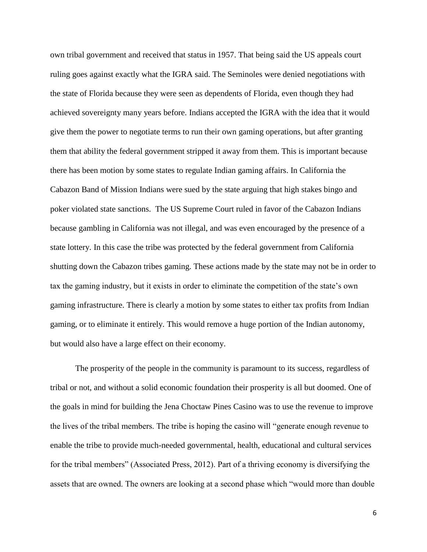own tribal government and received that status in 1957. That being said the US appeals court ruling goes against exactly what the IGRA said. The Seminoles were denied negotiations with the state of Florida because they were seen as dependents of Florida, even though they had achieved sovereignty many years before. Indians accepted the IGRA with the idea that it would give them the power to negotiate terms to run their own gaming operations, but after granting them that ability the federal government stripped it away from them. This is important because there has been motion by some states to regulate Indian gaming affairs. In California the Cabazon Band of Mission Indians were sued by the state arguing that high stakes bingo and poker violated state sanctions. The US Supreme Court ruled in favor of the Cabazon Indians because gambling in California was not illegal, and was even encouraged by the presence of a state lottery. In this case the tribe was protected by the federal government from California shutting down the Cabazon tribes gaming. These actions made by the state may not be in order to tax the gaming industry, but it exists in order to eliminate the competition of the state's own gaming infrastructure. There is clearly a motion by some states to either tax profits from Indian gaming, or to eliminate it entirely. This would remove a huge portion of the Indian autonomy, but would also have a large effect on their economy.

The prosperity of the people in the community is paramount to its success, regardless of tribal or not, and without a solid economic foundation their prosperity is all but doomed. One of the goals in mind for building the Jena Choctaw Pines Casino was to use the revenue to improve the lives of the tribal members. The tribe is hoping the casino will "generate enough revenue to enable the tribe to provide much-needed governmental, health, educational and cultural services for the tribal members" (Associated Press, 2012). Part of a thriving economy is diversifying the assets that are owned. The owners are looking at a second phase which "would more than double

6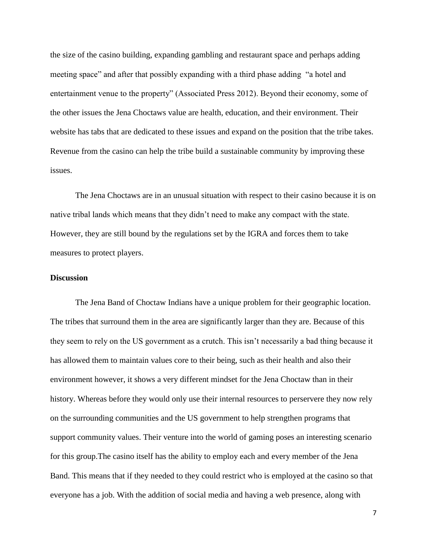the size of the casino building, expanding gambling and restaurant space and perhaps adding meeting space" and after that possibly expanding with a third phase adding "a hotel and entertainment venue to the property" (Associated Press 2012). Beyond their economy, some of the other issues the Jena Choctaws value are health, education, and their environment. Their website has tabs that are dedicated to these issues and expand on the position that the tribe takes. Revenue from the casino can help the tribe build a sustainable community by improving these issues.

The Jena Choctaws are in an unusual situation with respect to their casino because it is on native tribal lands which means that they didn't need to make any compact with the state. However, they are still bound by the regulations set by the IGRA and forces them to take measures to protect players.

## **Discussion**

The Jena Band of Choctaw Indians have a unique problem for their geographic location. The tribes that surround them in the area are significantly larger than they are. Because of this they seem to rely on the US government as a crutch. This isn't necessarily a bad thing because it has allowed them to maintain values core to their being, such as their health and also their environment however, it shows a very different mindset for the Jena Choctaw than in their history. Whereas before they would only use their internal resources to perservere they now rely on the surrounding communities and the US government to help strengthen programs that support community values. Their venture into the world of gaming poses an interesting scenario for this group.The casino itself has the ability to employ each and every member of the Jena Band. This means that if they needed to they could restrict who is employed at the casino so that everyone has a job. With the addition of social media and having a web presence, along with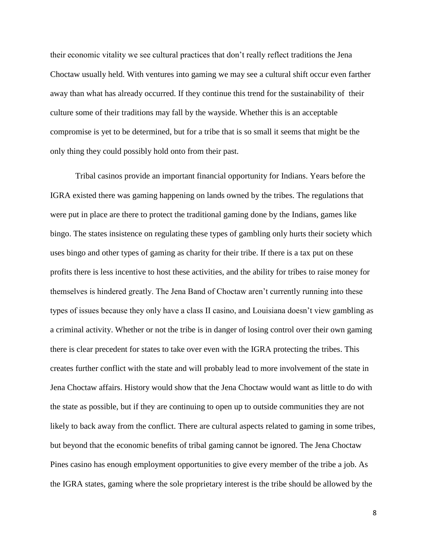their economic vitality we see cultural practices that don't really reflect traditions the Jena Choctaw usually held. With ventures into gaming we may see a cultural shift occur even farther away than what has already occurred. If they continue this trend for the sustainability of their culture some of their traditions may fall by the wayside. Whether this is an acceptable compromise is yet to be determined, but for a tribe that is so small it seems that might be the only thing they could possibly hold onto from their past.

Tribal casinos provide an important financial opportunity for Indians. Years before the IGRA existed there was gaming happening on lands owned by the tribes. The regulations that were put in place are there to protect the traditional gaming done by the Indians, games like bingo. The states insistence on regulating these types of gambling only hurts their society which uses bingo and other types of gaming as charity for their tribe. If there is a tax put on these profits there is less incentive to host these activities, and the ability for tribes to raise money for themselves is hindered greatly. The Jena Band of Choctaw aren't currently running into these types of issues because they only have a class II casino, and Louisiana doesn't view gambling as a criminal activity. Whether or not the tribe is in danger of losing control over their own gaming there is clear precedent for states to take over even with the IGRA protecting the tribes. This creates further conflict with the state and will probably lead to more involvement of the state in Jena Choctaw affairs. History would show that the Jena Choctaw would want as little to do with the state as possible, but if they are continuing to open up to outside communities they are not likely to back away from the conflict. There are cultural aspects related to gaming in some tribes, but beyond that the economic benefits of tribal gaming cannot be ignored. The Jena Choctaw Pines casino has enough employment opportunities to give every member of the tribe a job. As the IGRA states, gaming where the sole proprietary interest is the tribe should be allowed by the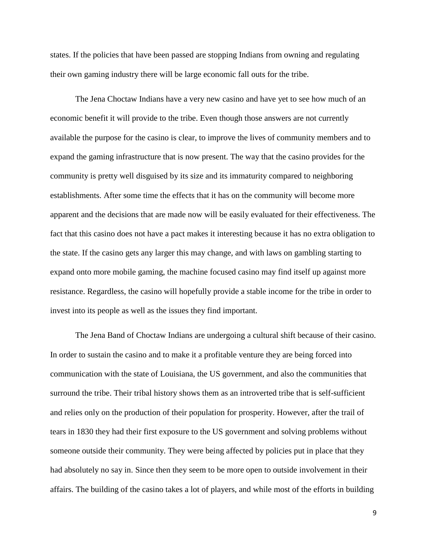states. If the policies that have been passed are stopping Indians from owning and regulating their own gaming industry there will be large economic fall outs for the tribe.

The Jena Choctaw Indians have a very new casino and have yet to see how much of an economic benefit it will provide to the tribe. Even though those answers are not currently available the purpose for the casino is clear, to improve the lives of community members and to expand the gaming infrastructure that is now present. The way that the casino provides for the community is pretty well disguised by its size and its immaturity compared to neighboring establishments. After some time the effects that it has on the community will become more apparent and the decisions that are made now will be easily evaluated for their effectiveness. The fact that this casino does not have a pact makes it interesting because it has no extra obligation to the state. If the casino gets any larger this may change, and with laws on gambling starting to expand onto more mobile gaming, the machine focused casino may find itself up against more resistance. Regardless, the casino will hopefully provide a stable income for the tribe in order to invest into its people as well as the issues they find important.

The Jena Band of Choctaw Indians are undergoing a cultural shift because of their casino. In order to sustain the casino and to make it a profitable venture they are being forced into communication with the state of Louisiana, the US government, and also the communities that surround the tribe. Their tribal history shows them as an introverted tribe that is self-sufficient and relies only on the production of their population for prosperity. However, after the trail of tears in 1830 they had their first exposure to the US government and solving problems without someone outside their community. They were being affected by policies put in place that they had absolutely no say in. Since then they seem to be more open to outside involvement in their affairs. The building of the casino takes a lot of players, and while most of the efforts in building

9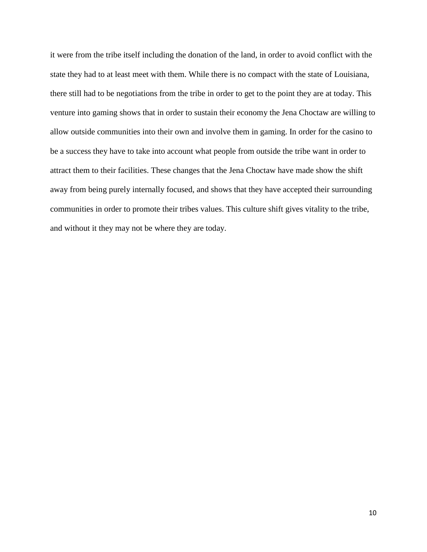it were from the tribe itself including the donation of the land, in order to avoid conflict with the state they had to at least meet with them. While there is no compact with the state of Louisiana, there still had to be negotiations from the tribe in order to get to the point they are at today. This venture into gaming shows that in order to sustain their economy the Jena Choctaw are willing to allow outside communities into their own and involve them in gaming. In order for the casino to be a success they have to take into account what people from outside the tribe want in order to attract them to their facilities. These changes that the Jena Choctaw have made show the shift away from being purely internally focused, and shows that they have accepted their surrounding communities in order to promote their tribes values. This culture shift gives vitality to the tribe, and without it they may not be where they are today.